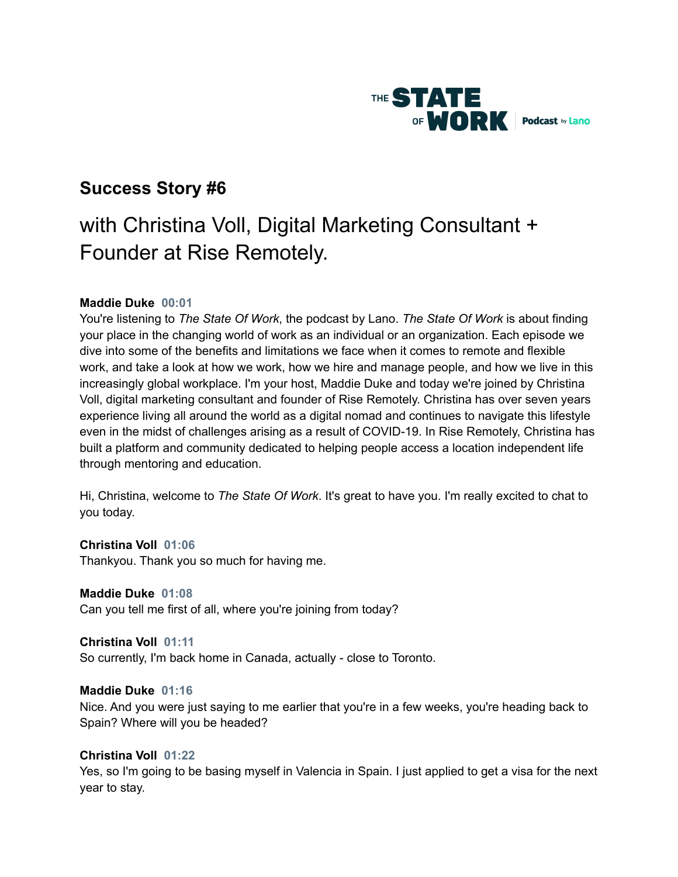

## **Success Story #6**

# with Christina Voll, Digital Marketing Consultant + Founder at Rise Remotely.

## **Maddie Duke 00:01**

You're listening to *The State Of Work*, the podcast by Lano. *The State Of Work* is about finding your place in the changing world of work as an individual or an organization. Each episode we dive into some of the benefits and limitations we face when it comes to remote and flexible work, and take a look at how we work, how we hire and manage people, and how we live in this increasingly global workplace. I'm your host, Maddie Duke and today we're joined by Christina Voll, digital marketing consultant and founder of Rise Remotely. Christina has over seven years experience living all around the world as a digital nomad and continues to navigate this lifestyle even in the midst of challenges arising as a result of COVID-19. In Rise Remotely, Christina has built a platform and community dedicated to helping people access a location independent life through mentoring and education.

Hi, Christina, welcome to *The State Of Work*. It's great to have you. I'm really excited to chat to you today.

## **Christina Voll 01:06**

Thankyou. Thank you so much for having me.

## **Maddie Duke 01:08**

Can you tell me first of all, where you're joining from today?

## **Christina Voll 01:11**

So currently, I'm back home in Canada, actually - close to Toronto.

## **Maddie Duke 01:16**

Nice. And you were just saying to me earlier that you're in a few weeks, you're heading back to Spain? Where will you be headed?

## **Christina Voll 01:22**

Yes, so I'm going to be basing myself in Valencia in Spain. I just applied to get a visa for the next year to stay.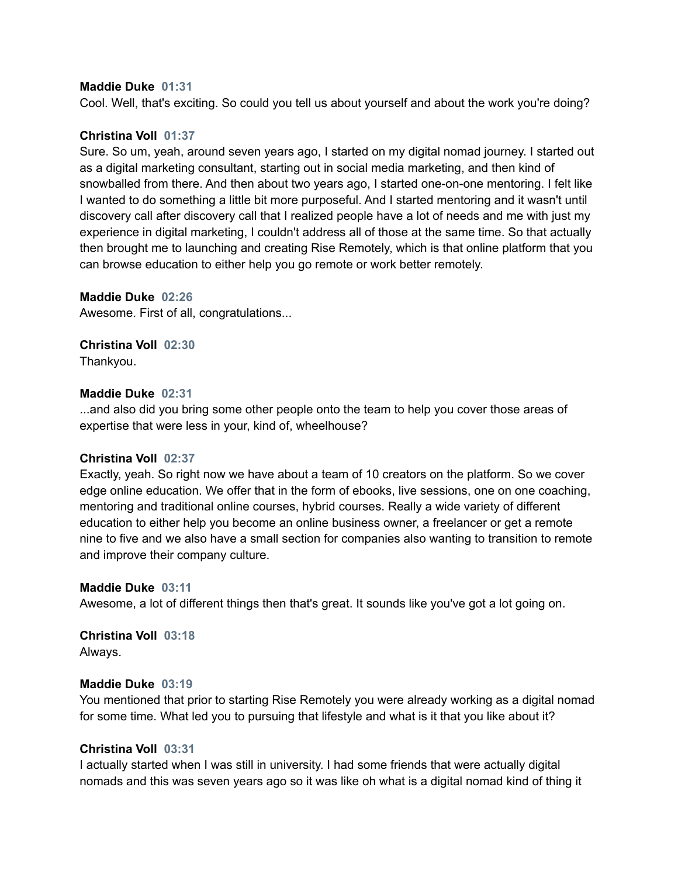## **Maddie Duke 01:31**

Cool. Well, that's exciting. So could you tell us about yourself and about the work you're doing?

## **Christina Voll 01:37**

Sure. So um, yeah, around seven years ago, I started on my digital nomad journey. I started out as a digital marketing consultant, starting out in social media marketing, and then kind of snowballed from there. And then about two years ago, I started one-on-one mentoring. I felt like I wanted to do something a little bit more purposeful. And I started mentoring and it wasn't until discovery call after discovery call that I realized people have a lot of needs and me with just my experience in digital marketing, I couldn't address all of those at the same time. So that actually then brought me to launching and creating Rise Remotely, which is that online platform that you can browse education to either help you go remote or work better remotely.

## **Maddie Duke 02:26**

Awesome. First of all, congratulations...

**Christina Voll 02:30** Thankyou.

## **Maddie Duke 02:31**

...and also did you bring some other people onto the team to help you cover those areas of expertise that were less in your, kind of, wheelhouse?

## **Christina Voll 02:37**

Exactly, yeah. So right now we have about a team of 10 creators on the platform. So we cover edge online education. We offer that in the form of ebooks, live sessions, one on one coaching, mentoring and traditional online courses, hybrid courses. Really a wide variety of different education to either help you become an online business owner, a freelancer or get a remote nine to five and we also have a small section for companies also wanting to transition to remote and improve their company culture.

## **Maddie Duke 03:11**

Awesome, a lot of different things then that's great. It sounds like you've got a lot going on.

## **Christina Voll 03:18** Always.

## **Maddie Duke 03:19**

You mentioned that prior to starting Rise Remotely you were already working as a digital nomad for some time. What led you to pursuing that lifestyle and what is it that you like about it?

## **Christina Voll 03:31**

I actually started when I was still in university. I had some friends that were actually digital nomads and this was seven years ago so it was like oh what is a digital nomad kind of thing it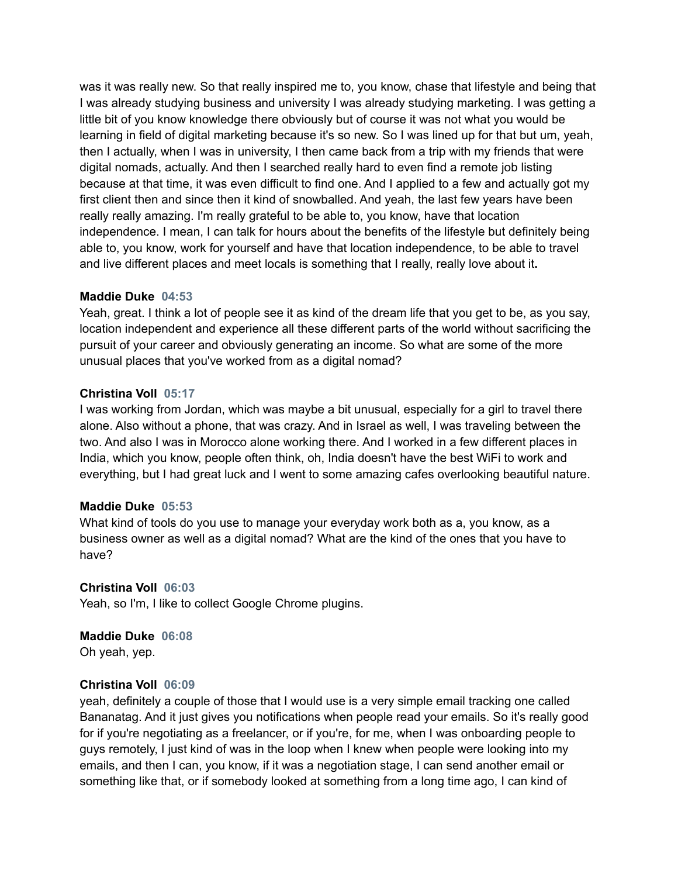was it was really new. So that really inspired me to, you know, chase that lifestyle and being that I was already studying business and university I was already studying marketing. I was getting a little bit of you know knowledge there obviously but of course it was not what you would be learning in field of digital marketing because it's so new. So I was lined up for that but um, yeah, then I actually, when I was in university, I then came back from a trip with my friends that were digital nomads, actually. And then I searched really hard to even find a remote job listing because at that time, it was even difficult to find one. And I applied to a few and actually got my first client then and since then it kind of snowballed. And yeah, the last few years have been really really amazing. I'm really grateful to be able to, you know, have that location independence. I mean, I can talk for hours about the benefits of the lifestyle but definitely being able to, you know, work for yourself and have that location independence, to be able to travel and live different places and meet locals is something that I really, really love about it**.**

## **Maddie Duke 04:53**

Yeah, great. I think a lot of people see it as kind of the dream life that you get to be, as you say, location independent and experience all these different parts of the world without sacrificing the pursuit of your career and obviously generating an income. So what are some of the more unusual places that you've worked from as a digital nomad?

## **Christina Voll 05:17**

I was working from Jordan, which was maybe a bit unusual, especially for a girl to travel there alone. Also without a phone, that was crazy. And in Israel as well, I was traveling between the two. And also I was in Morocco alone working there. And I worked in a few different places in India, which you know, people often think, oh, India doesn't have the best WiFi to work and everything, but I had great luck and I went to some amazing cafes overlooking beautiful nature.

## **Maddie Duke 05:53**

What kind of tools do you use to manage your everyday work both as a, you know, as a business owner as well as a digital nomad? What are the kind of the ones that you have to have?

## **Christina Voll 06:03**

Yeah, so I'm, I like to collect Google Chrome plugins.

## **Maddie Duke 06:08** Oh yeah, yep.

## **Christina Voll 06:09**

yeah, definitely a couple of those that I would use is a very simple email tracking one called Bananatag. And it just gives you notifications when people read your emails. So it's really good for if you're negotiating as a freelancer, or if you're, for me, when I was onboarding people to guys remotely, I just kind of was in the loop when I knew when people were looking into my emails, and then I can, you know, if it was a negotiation stage, I can send another email or something like that, or if somebody looked at something from a long time ago, I can kind of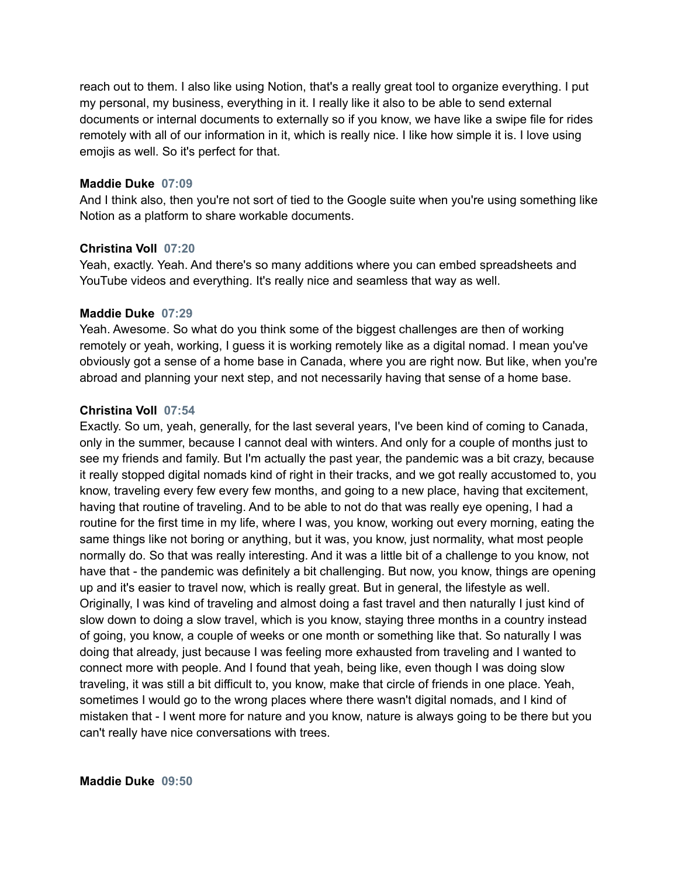reach out to them. I also like using Notion, that's a really great tool to organize everything. I put my personal, my business, everything in it. I really like it also to be able to send external documents or internal documents to externally so if you know, we have like a swipe file for rides remotely with all of our information in it, which is really nice. I like how simple it is. I love using emojis as well. So it's perfect for that.

## **Maddie Duke 07:09**

And I think also, then you're not sort of tied to the Google suite when you're using something like Notion as a platform to share workable documents.

## **Christina Voll 07:20**

Yeah, exactly. Yeah. And there's so many additions where you can embed spreadsheets and YouTube videos and everything. It's really nice and seamless that way as well.

#### **Maddie Duke 07:29**

Yeah. Awesome. So what do you think some of the biggest challenges are then of working remotely or yeah, working, I guess it is working remotely like as a digital nomad. I mean you've obviously got a sense of a home base in Canada, where you are right now. But like, when you're abroad and planning your next step, and not necessarily having that sense of a home base.

## **Christina Voll 07:54**

Exactly. So um, yeah, generally, for the last several years, I've been kind of coming to Canada, only in the summer, because I cannot deal with winters. And only for a couple of months just to see my friends and family. But I'm actually the past year, the pandemic was a bit crazy, because it really stopped digital nomads kind of right in their tracks, and we got really accustomed to, you know, traveling every few every few months, and going to a new place, having that excitement, having that routine of traveling. And to be able to not do that was really eye opening, I had a routine for the first time in my life, where I was, you know, working out every morning, eating the same things like not boring or anything, but it was, you know, just normality, what most people normally do. So that was really interesting. And it was a little bit of a challenge to you know, not have that - the pandemic was definitely a bit challenging. But now, you know, things are opening up and it's easier to travel now, which is really great. But in general, the lifestyle as well. Originally, I was kind of traveling and almost doing a fast travel and then naturally I just kind of slow down to doing a slow travel, which is you know, staying three months in a country instead of going, you know, a couple of weeks or one month or something like that. So naturally I was doing that already, just because I was feeling more exhausted from traveling and I wanted to connect more with people. And I found that yeah, being like, even though I was doing slow traveling, it was still a bit difficult to, you know, make that circle of friends in one place. Yeah, sometimes I would go to the wrong places where there wasn't digital nomads, and I kind of mistaken that - I went more for nature and you know, nature is always going to be there but you can't really have nice conversations with trees.

#### **Maddie Duke 09:50**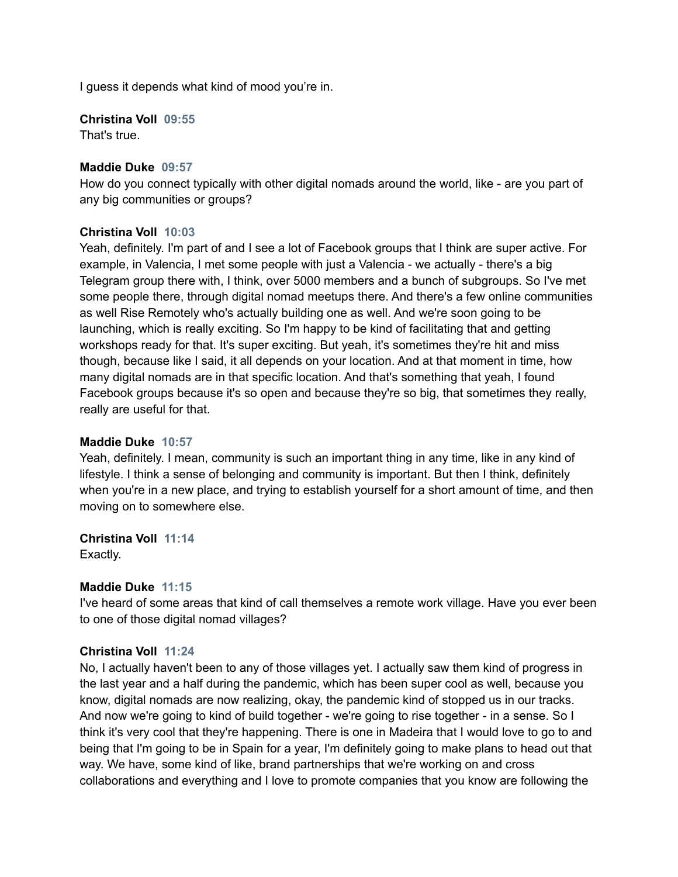I guess it depends what kind of mood you're in.

## **Christina Voll 09:55**

That's true.

## **Maddie Duke 09:57**

How do you connect typically with other digital nomads around the world, like - are you part of any big communities or groups?

## **Christina Voll 10:03**

Yeah, definitely. I'm part of and I see a lot of Facebook groups that I think are super active. For example, in Valencia, I met some people with just a Valencia - we actually - there's a big Telegram group there with, I think, over 5000 members and a bunch of subgroups. So I've met some people there, through digital nomad meetups there. And there's a few online communities as well Rise Remotely who's actually building one as well. And we're soon going to be launching, which is really exciting. So I'm happy to be kind of facilitating that and getting workshops ready for that. It's super exciting. But yeah, it's sometimes they're hit and miss though, because like I said, it all depends on your location. And at that moment in time, how many digital nomads are in that specific location. And that's something that yeah, I found Facebook groups because it's so open and because they're so big, that sometimes they really, really are useful for that.

## **Maddie Duke 10:57**

Yeah, definitely. I mean, community is such an important thing in any time, like in any kind of lifestyle. I think a sense of belonging and community is important. But then I think, definitely when you're in a new place, and trying to establish yourself for a short amount of time, and then moving on to somewhere else.

## **Christina Voll 11:14**

Exactly.

## **Maddie Duke 11:15**

I've heard of some areas that kind of call themselves a remote work village. Have you ever been to one of those digital nomad villages?

## **Christina Voll 11:24**

No, I actually haven't been to any of those villages yet. I actually saw them kind of progress in the last year and a half during the pandemic, which has been super cool as well, because you know, digital nomads are now realizing, okay, the pandemic kind of stopped us in our tracks. And now we're going to kind of build together - we're going to rise together - in a sense. So I think it's very cool that they're happening. There is one in Madeira that I would love to go to and being that I'm going to be in Spain for a year, I'm definitely going to make plans to head out that way. We have, some kind of like, brand partnerships that we're working on and cross collaborations and everything and I love to promote companies that you know are following the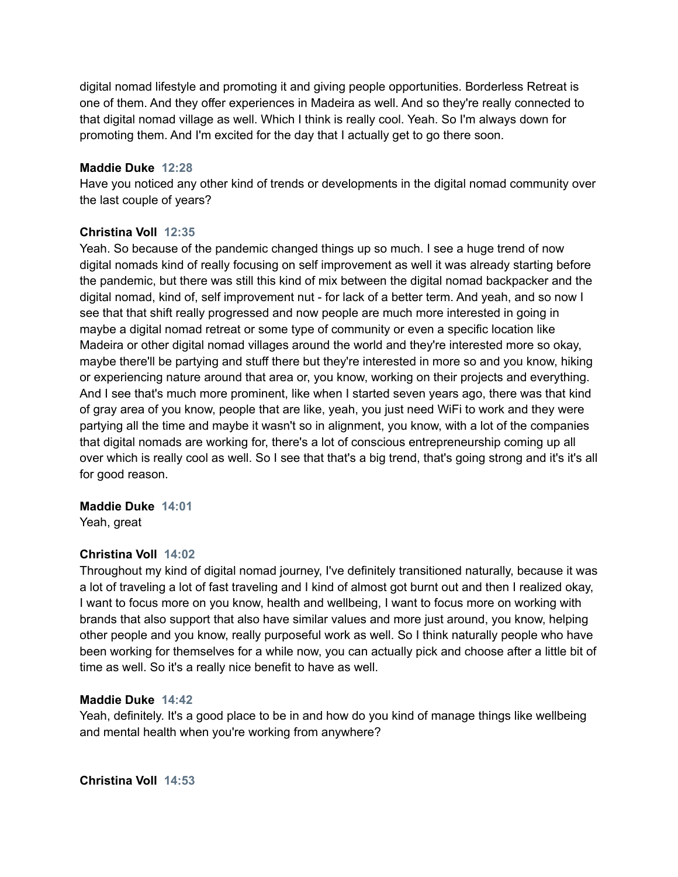digital nomad lifestyle and promoting it and giving people opportunities. Borderless Retreat is one of them. And they offer experiences in Madeira as well. And so they're really connected to that digital nomad village as well. Which I think is really cool. Yeah. So I'm always down for promoting them. And I'm excited for the day that I actually get to go there soon.

## **Maddie Duke 12:28**

Have you noticed any other kind of trends or developments in the digital nomad community over the last couple of years?

## **Christina Voll 12:35**

Yeah. So because of the pandemic changed things up so much. I see a huge trend of now digital nomads kind of really focusing on self improvement as well it was already starting before the pandemic, but there was still this kind of mix between the digital nomad backpacker and the digital nomad, kind of, self improvement nut - for lack of a better term. And yeah, and so now I see that that shift really progressed and now people are much more interested in going in maybe a digital nomad retreat or some type of community or even a specific location like Madeira or other digital nomad villages around the world and they're interested more so okay, maybe there'll be partying and stuff there but they're interested in more so and you know, hiking or experiencing nature around that area or, you know, working on their projects and everything. And I see that's much more prominent, like when I started seven years ago, there was that kind of gray area of you know, people that are like, yeah, you just need WiFi to work and they were partying all the time and maybe it wasn't so in alignment, you know, with a lot of the companies that digital nomads are working for, there's a lot of conscious entrepreneurship coming up all over which is really cool as well. So I see that that's a big trend, that's going strong and it's it's all for good reason.

## **Maddie Duke 14:01**

Yeah, great

## **Christina Voll 14:02**

Throughout my kind of digital nomad journey, I've definitely transitioned naturally, because it was a lot of traveling a lot of fast traveling and I kind of almost got burnt out and then I realized okay, I want to focus more on you know, health and wellbeing, I want to focus more on working with brands that also support that also have similar values and more just around, you know, helping other people and you know, really purposeful work as well. So I think naturally people who have been working for themselves for a while now, you can actually pick and choose after a little bit of time as well. So it's a really nice benefit to have as well.

## **Maddie Duke 14:42**

Yeah, definitely. It's a good place to be in and how do you kind of manage things like wellbeing and mental health when you're working from anywhere?

**Christina Voll 14:53**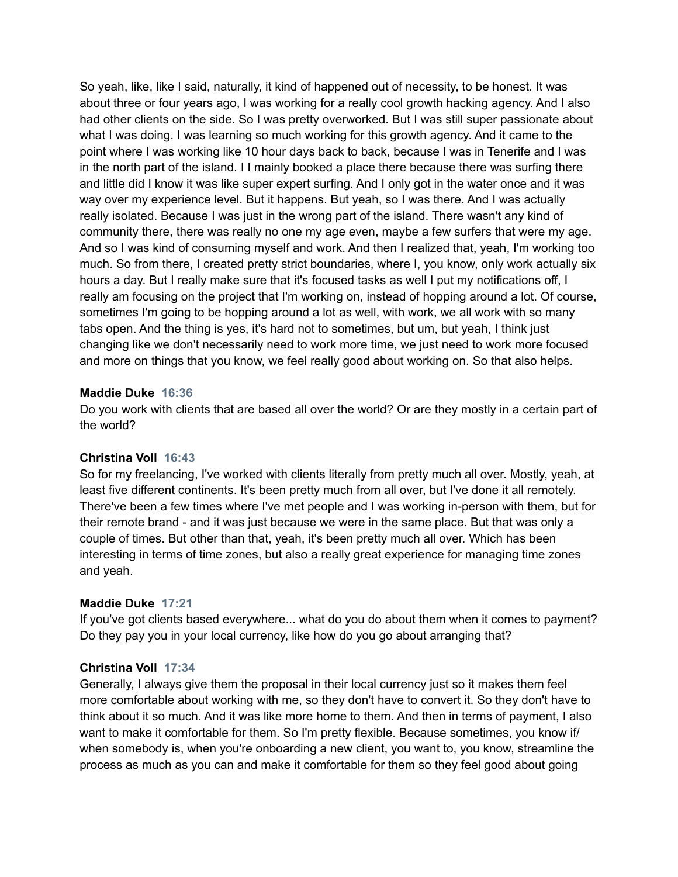So yeah, like, like I said, naturally, it kind of happened out of necessity, to be honest. It was about three or four years ago, I was working for a really cool growth hacking agency. And I also had other clients on the side. So I was pretty overworked. But I was still super passionate about what I was doing. I was learning so much working for this growth agency. And it came to the point where I was working like 10 hour days back to back, because I was in Tenerife and I was in the north part of the island. I I mainly booked a place there because there was surfing there and little did I know it was like super expert surfing. And I only got in the water once and it was way over my experience level. But it happens. But yeah, so I was there. And I was actually really isolated. Because I was just in the wrong part of the island. There wasn't any kind of community there, there was really no one my age even, maybe a few surfers that were my age. And so I was kind of consuming myself and work. And then I realized that, yeah, I'm working too much. So from there, I created pretty strict boundaries, where I, you know, only work actually six hours a day. But I really make sure that it's focused tasks as well I put my notifications off, I really am focusing on the project that I'm working on, instead of hopping around a lot. Of course, sometimes I'm going to be hopping around a lot as well, with work, we all work with so many tabs open. And the thing is yes, it's hard not to sometimes, but um, but yeah, I think just changing like we don't necessarily need to work more time, we just need to work more focused and more on things that you know, we feel really good about working on. So that also helps.

## **Maddie Duke 16:36**

Do you work with clients that are based all over the world? Or are they mostly in a certain part of the world?

## **Christina Voll 16:43**

So for my freelancing, I've worked with clients literally from pretty much all over. Mostly, yeah, at least five different continents. It's been pretty much from all over, but I've done it all remotely. There've been a few times where I've met people and I was working in-person with them, but for their remote brand - and it was just because we were in the same place. But that was only a couple of times. But other than that, yeah, it's been pretty much all over. Which has been interesting in terms of time zones, but also a really great experience for managing time zones and yeah.

## **Maddie Duke 17:21**

If you've got clients based everywhere... what do you do about them when it comes to payment? Do they pay you in your local currency, like how do you go about arranging that?

## **Christina Voll 17:34**

Generally, I always give them the proposal in their local currency just so it makes them feel more comfortable about working with me, so they don't have to convert it. So they don't have to think about it so much. And it was like more home to them. And then in terms of payment, I also want to make it comfortable for them. So I'm pretty flexible. Because sometimes, you know if/ when somebody is, when you're onboarding a new client, you want to, you know, streamline the process as much as you can and make it comfortable for them so they feel good about going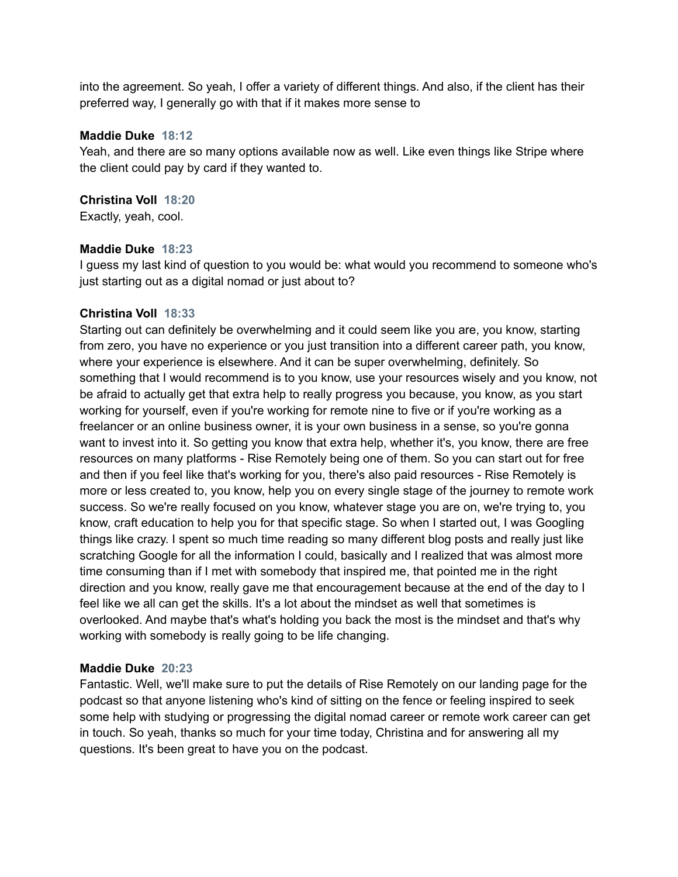into the agreement. So yeah, I offer a variety of different things. And also, if the client has their preferred way, I generally go with that if it makes more sense to

## **Maddie Duke 18:12**

Yeah, and there are so many options available now as well. Like even things like Stripe where the client could pay by card if they wanted to.

# **Christina Voll 18:20**

Exactly, yeah, cool.

## **Maddie Duke 18:23**

I guess my last kind of question to you would be: what would you recommend to someone who's just starting out as a digital nomad or just about to?

## **Christina Voll 18:33**

Starting out can definitely be overwhelming and it could seem like you are, you know, starting from zero, you have no experience or you just transition into a different career path, you know, where your experience is elsewhere. And it can be super overwhelming, definitely. So something that I would recommend is to you know, use your resources wisely and you know, not be afraid to actually get that extra help to really progress you because, you know, as you start working for yourself, even if you're working for remote nine to five or if you're working as a freelancer or an online business owner, it is your own business in a sense, so you're gonna want to invest into it. So getting you know that extra help, whether it's, you know, there are free resources on many platforms - Rise Remotely being one of them. So you can start out for free and then if you feel like that's working for you, there's also paid resources - Rise Remotely is more or less created to, you know, help you on every single stage of the journey to remote work success. So we're really focused on you know, whatever stage you are on, we're trying to, you know, craft education to help you for that specific stage. So when I started out, I was Googling things like crazy. I spent so much time reading so many different blog posts and really just like scratching Google for all the information I could, basically and I realized that was almost more time consuming than if I met with somebody that inspired me, that pointed me in the right direction and you know, really gave me that encouragement because at the end of the day to I feel like we all can get the skills. It's a lot about the mindset as well that sometimes is overlooked. And maybe that's what's holding you back the most is the mindset and that's why working with somebody is really going to be life changing.

## **Maddie Duke 20:23**

Fantastic. Well, we'll make sure to put the details of Rise Remotely on our landing page for the podcast so that anyone listening who's kind of sitting on the fence or feeling inspired to seek some help with studying or progressing the digital nomad career or remote work career can get in touch. So yeah, thanks so much for your time today, Christina and for answering all my questions. It's been great to have you on the podcast.